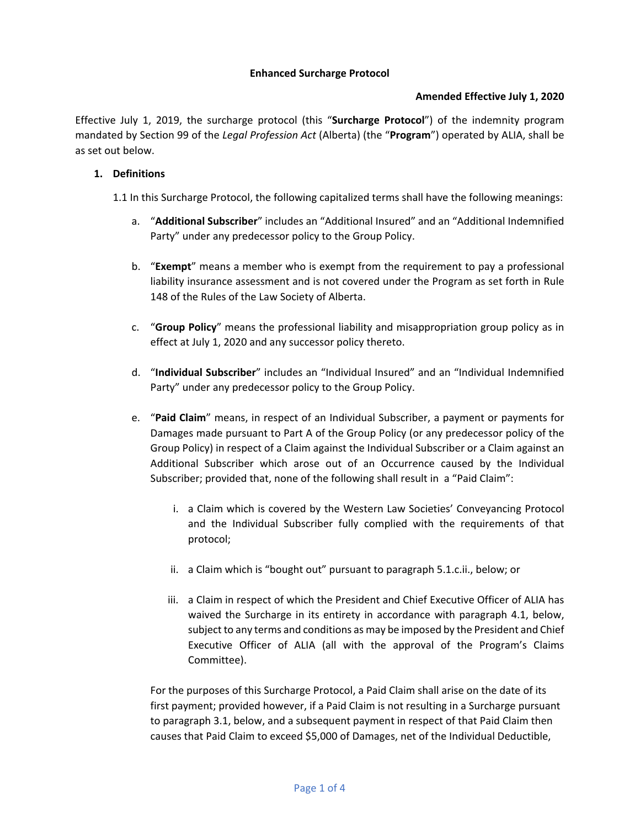#### **Enhanced Surcharge Protocol**

### **Amended Effective July 1, 2020**

Effective July 1, 2019, the surcharge protocol (this "**Surcharge Protocol**") of the indemnity program mandated by Section 99 of the *Legal Profession Act* (Alberta) (the "**Program**") operated by ALIA, shall be as set out below.

#### **1. Definitions**

1.1 In this Surcharge Protocol, the following capitalized terms shall have the following meanings:

- a. "**Additional Subscriber**" includes an "Additional Insured" and an "Additional Indemnified Party" under any predecessor policy to the Group Policy.
- b. "**Exempt**" means a member who is exempt from the requirement to pay a professional liability insurance assessment and is not covered under the Program as set forth in Rule 148 of the Rules of the Law Society of Alberta.
- c. "**Group Policy**" means the professional liability and misappropriation group policy as in effect at July 1, 2020 and any successor policy thereto.
- d. "**Individual Subscriber**" includes an "Individual Insured" and an "Individual Indemnified Party" under any predecessor policy to the Group Policy.
- e. "**Paid Claim**" means, in respect of an Individual Subscriber, a payment or payments for Damages made pursuant to Part A of the Group Policy (or any predecessor policy of the Group Policy) in respect of a Claim against the Individual Subscriber or a Claim against an Additional Subscriber which arose out of an Occurrence caused by the Individual Subscriber; provided that, none of the following shall result in a "Paid Claim":
	- i. a Claim which is covered by the Western Law Societies' Conveyancing Protocol and the Individual Subscriber fully complied with the requirements of that protocol;
	- ii. a Claim which is "bought out" pursuant to paragraph 5.1.c.ii., below; or
	- iii. a Claim in respect of which the President and Chief Executive Officer of ALIA has waived the Surcharge in its entirety in accordance with paragraph 4.1, below, subject to any terms and conditions as may be imposed by the President and Chief Executive Officer of ALIA (all with the approval of the Program's Claims Committee).

For the purposes of this Surcharge Protocol, a Paid Claim shall arise on the date of its first payment; provided however, if a Paid Claim is not resulting in a Surcharge pursuant to paragraph 3.1, below, and a subsequent payment in respect of that Paid Claim then causes that Paid Claim to exceed \$5,000 of Damages, net of the Individual Deductible,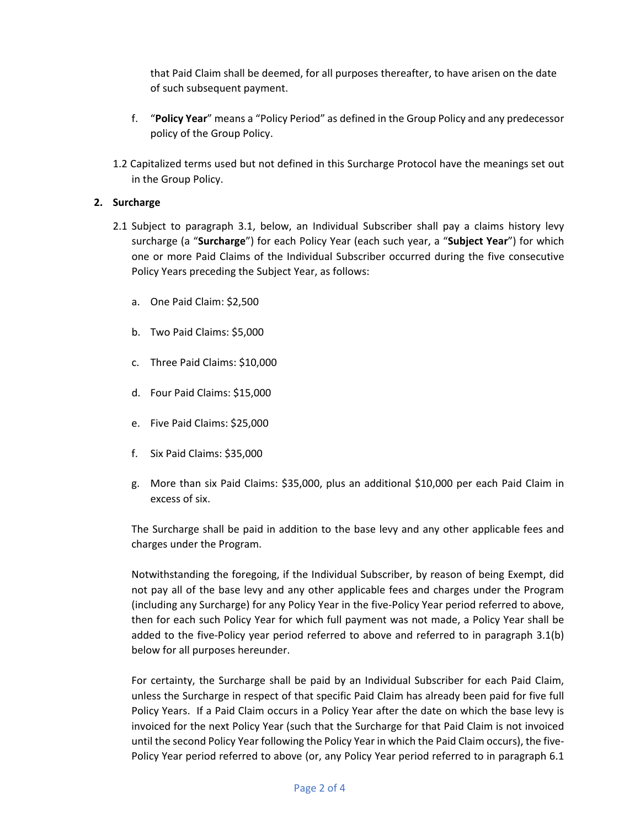that Paid Claim shall be deemed, for all purposes thereafter, to have arisen on the date of such subsequent payment.

- f. "**Policy Year**" means a "Policy Period" as defined in the Group Policy and any predecessor policy of the Group Policy.
- 1.2 Capitalized terms used but not defined in this Surcharge Protocol have the meanings set out in the Group Policy.

# **2. Surcharge**

- 2.1 Subject to paragraph 3.1, below, an Individual Subscriber shall pay a claims history levy surcharge (a "**Surcharge**") for each Policy Year (each such year, a "**Subject Year**") for which one or more Paid Claims of the Individual Subscriber occurred during the five consecutive Policy Years preceding the Subject Year, as follows:
	- a. One Paid Claim: \$2,500
	- b. Two Paid Claims: \$5,000
	- c. Three Paid Claims: \$10,000
	- d. Four Paid Claims: \$15,000
	- e. Five Paid Claims: \$25,000
	- f. Six Paid Claims: \$35,000
	- g. More than six Paid Claims: \$35,000, plus an additional \$10,000 per each Paid Claim in excess of six.

The Surcharge shall be paid in addition to the base levy and any other applicable fees and charges under the Program.

Notwithstanding the foregoing, if the Individual Subscriber, by reason of being Exempt, did not pay all of the base levy and any other applicable fees and charges under the Program (including any Surcharge) for any Policy Year in the five-Policy Year period referred to above, then for each such Policy Year for which full payment was not made, a Policy Year shall be added to the five-Policy year period referred to above and referred to in paragraph 3.1(b) below for all purposes hereunder.

For certainty, the Surcharge shall be paid by an Individual Subscriber for each Paid Claim, unless the Surcharge in respect of that specific Paid Claim has already been paid for five full Policy Years. If a Paid Claim occurs in a Policy Year after the date on which the base levy is invoiced for the next Policy Year (such that the Surcharge for that Paid Claim is not invoiced until the second Policy Year following the Policy Year in which the Paid Claim occurs), the five-Policy Year period referred to above (or, any Policy Year period referred to in paragraph 6.1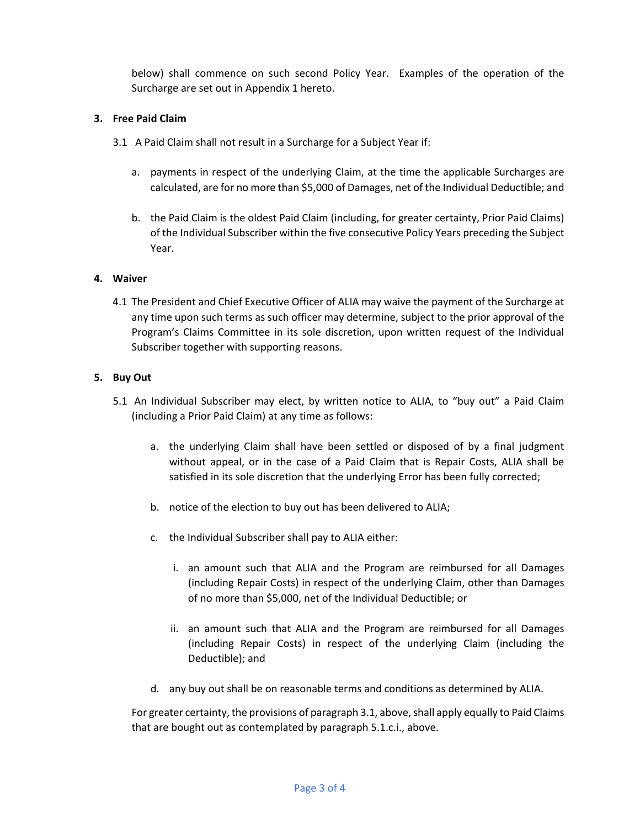below) shall commence on such second Policy Year. Examples of the operation of the Surcharge are set out in Appendix 1 hereto.

## **3. Free Paid Claim**

- 3.1 A Paid Claim shall not result in a Surcharge for a Subject Year if:
	- a. payments in respect of the underlying Claim, at the time the applicable Surcharges are calculated, are for no more than \$5,000 of Damages, net of the Individual Deductible; and
	- b. the Paid Claim is the oldest Paid Claim (including, for greater certainty, Prior Paid Claims) of the Individual Subscriber within the five consecutive Policy Years preceding the Subject Year.

# **4. Waiver**

4.1 The President and Chief Executive Officer of ALIA may waive the payment of the Surcharge at any time upon such terms as such officer may determine, subject to the prior approval of the Program's Claims Committee in its sole discretion, upon written request of the Individual Subscriber together with supporting reasons.

# **5. Buy Out**

- 5.1 An Individual Subscriber may elect, by written notice to ALIA, to "buy out" a Paid Claim (including a Prior Paid Claim) at any time as follows:
	- a. the underlying Claim shall have been settled or disposed of by a final judgment without appeal, or in the case of a Paid Claim that is Repair Costs, ALIA shall be satisfied in its sole discretion that the underlying Error has been fully corrected;
	- b. notice of the election to buy out has been delivered to ALIA;
	- c. the Individual Subscriber shall pay to ALIA either:
		- i. an amount such that ALIA and the Program are reimbursed for all Damages (including Repair Costs) in respect of the underlying Claim, other than Damages of no more than \$5,000, net of the Individual Deductible; or
		- ii. an amount such that ALIA and the Program are reimbursed for all Damages (including Repair Costs) in respect of the underlying Claim (including the Deductible); and
	- d. any buy out shall be on reasonable terms and conditions as determined by ALIA.

For greater certainty, the provisions of paragraph 3.1, above, shall apply equally to Paid Claims that are bought out as contemplated by paragraph 5.1.c.i., above.